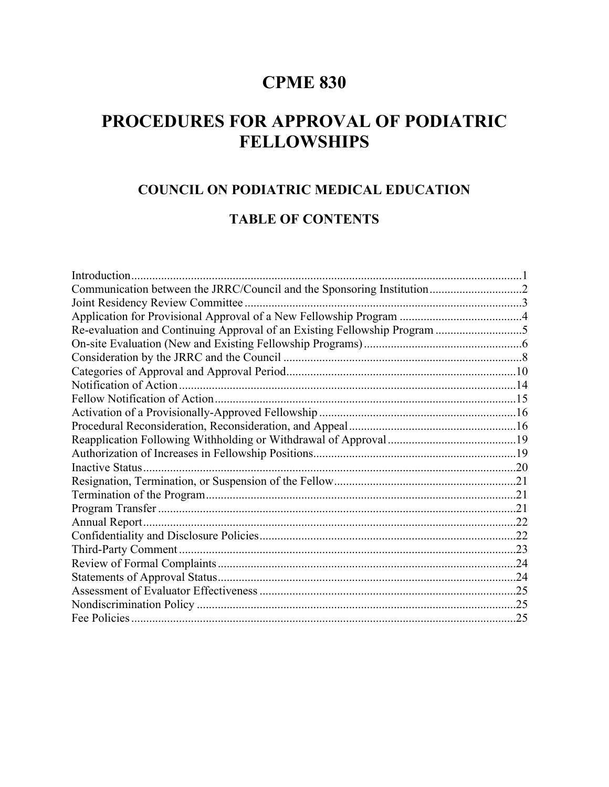# **CPME 830**

# **PROCEDURES FOR APPROVAL OF PODIATRIC FELLOWSHIPS**

### **COUNCIL ON PODIATRIC MEDICAL EDUCATION**

#### **TABLE OF CONTENTS**

| Introduction                                                              |  |
|---------------------------------------------------------------------------|--|
| Communication between the JRRC/Council and the Sponsoring Institution2    |  |
|                                                                           |  |
|                                                                           |  |
| Re-evaluation and Continuing Approval of an Existing Fellowship Program 5 |  |
|                                                                           |  |
|                                                                           |  |
|                                                                           |  |
|                                                                           |  |
|                                                                           |  |
|                                                                           |  |
|                                                                           |  |
|                                                                           |  |
|                                                                           |  |
|                                                                           |  |
|                                                                           |  |
|                                                                           |  |
|                                                                           |  |
|                                                                           |  |
|                                                                           |  |
|                                                                           |  |
|                                                                           |  |
|                                                                           |  |
|                                                                           |  |
|                                                                           |  |
|                                                                           |  |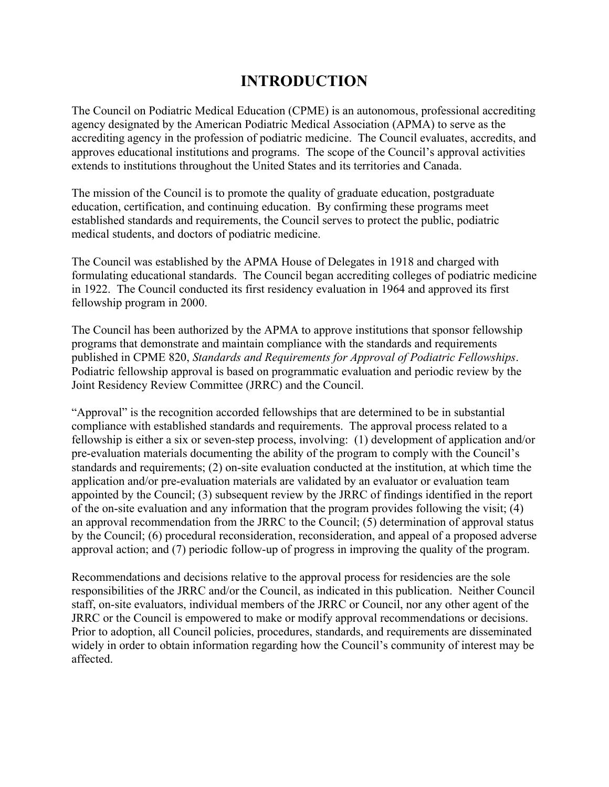## **INTRODUCTION**

The Council on Podiatric Medical Education (CPME) is an autonomous, professional accrediting agency designated by the American Podiatric Medical Association (APMA) to serve as the accrediting agency in the profession of podiatric medicine. The Council evaluates, accredits, and approves educational institutions and programs. The scope of the Council's approval activities extends to institutions throughout the United States and its territories and Canada.

The mission of the Council is to promote the quality of graduate education, postgraduate education, certification, and continuing education. By confirming these programs meet established standards and requirements, the Council serves to protect the public, podiatric medical students, and doctors of podiatric medicine.

The Council was established by the APMA House of Delegates in 1918 and charged with formulating educational standards. The Council began accrediting colleges of podiatric medicine in 1922. The Council conducted its first residency evaluation in 1964 and approved its first fellowship program in 2000.

The Council has been authorized by the APMA to approve institutions that sponsor fellowship programs that demonstrate and maintain compliance with the standards and requirements published in CPME 820, *Standards and Requirements for Approval of Podiatric Fellowships*. Podiatric fellowship approval is based on programmatic evaluation and periodic review by the Joint Residency Review Committee (JRRC) and the Council.

"Approval" is the recognition accorded fellowships that are determined to be in substantial compliance with established standards and requirements. The approval process related to a fellowship is either a six or seven-step process, involving: (1) development of application and/or pre-evaluation materials documenting the ability of the program to comply with the Council's standards and requirements; (2) on-site evaluation conducted at the institution, at which time the application and/or pre-evaluation materials are validated by an evaluator or evaluation team appointed by the Council; (3) subsequent review by the JRRC of findings identified in the report of the on-site evaluation and any information that the program provides following the visit; (4) an approval recommendation from the JRRC to the Council; (5) determination of approval status by the Council; (6) procedural reconsideration, reconsideration, and appeal of a proposed adverse approval action; and (7) periodic follow-up of progress in improving the quality of the program.

Recommendations and decisions relative to the approval process for residencies are the sole responsibilities of the JRRC and/or the Council, as indicated in this publication. Neither Council staff, on-site evaluators, individual members of the JRRC or Council, nor any other agent of the JRRC or the Council is empowered to make or modify approval recommendations or decisions. Prior to adoption, all Council policies, procedures, standards, and requirements are disseminated widely in order to obtain information regarding how the Council's community of interest may be affected.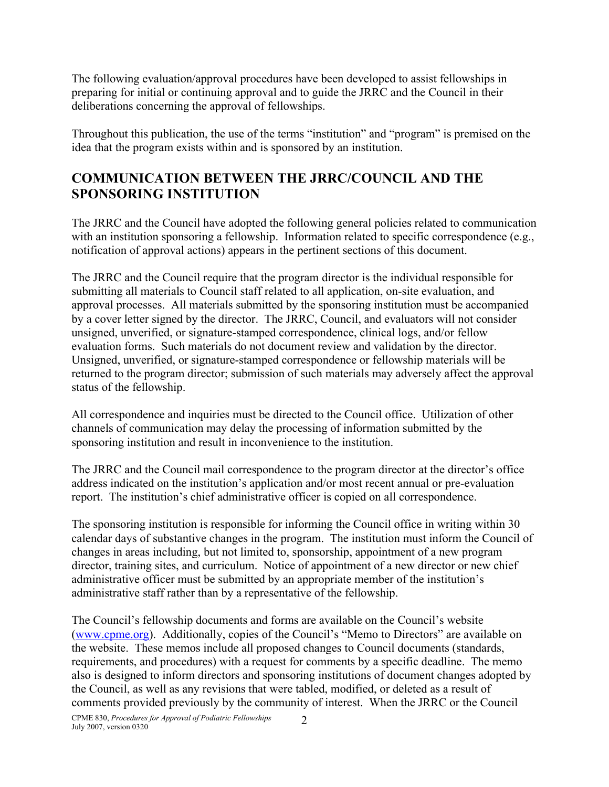The following evaluation/approval procedures have been developed to assist fellowships in preparing for initial or continuing approval and to guide the JRRC and the Council in their deliberations concerning the approval of fellowships.

Throughout this publication, the use of the terms "institution" and "program" is premised on the idea that the program exists within and is sponsored by an institution.

## **COMMUNICATION BETWEEN THE JRRC/COUNCIL AND THE SPONSORING INSTITUTION**

The JRRC and the Council have adopted the following general policies related to communication with an institution sponsoring a fellowship. Information related to specific correspondence (e.g., notification of approval actions) appears in the pertinent sections of this document.

The JRRC and the Council require that the program director is the individual responsible for submitting all materials to Council staff related to all application, on-site evaluation, and approval processes. All materials submitted by the sponsoring institution must be accompanied by a cover letter signed by the director. The JRRC, Council, and evaluators will not consider unsigned, unverified, or signature-stamped correspondence, clinical logs, and/or fellow evaluation forms. Such materials do not document review and validation by the director. Unsigned, unverified, or signature-stamped correspondence or fellowship materials will be returned to the program director; submission of such materials may adversely affect the approval status of the fellowship.

All correspondence and inquiries must be directed to the Council office. Utilization of other channels of communication may delay the processing of information submitted by the sponsoring institution and result in inconvenience to the institution.

The JRRC and the Council mail correspondence to the program director at the director's office address indicated on the institution's application and/or most recent annual or pre-evaluation report. The institution's chief administrative officer is copied on all correspondence.

The sponsoring institution is responsible for informing the Council office in writing within 30 calendar days of substantive changes in the program. The institution must inform the Council of changes in areas including, but not limited to, sponsorship, appointment of a new program director, training sites, and curriculum. Notice of appointment of a new director or new chief administrative officer must be submitted by an appropriate member of the institution's administrative staff rather than by a representative of the fellowship.

The Council's fellowship documents and forms are available on the Council's website [\(www.cpme.org\)](http://www.cpme.org/). Additionally, copies of the Council's "Memo to Directors" are available on the website. These memos include all proposed changes to Council documents (standards, requirements, and procedures) with a request for comments by a specific deadline. The memo also is designed to inform directors and sponsoring institutions of document changes adopted by the Council, as well as any revisions that were tabled, modified, or deleted as a result of comments provided previously by the community of interest. When the JRRC or the Council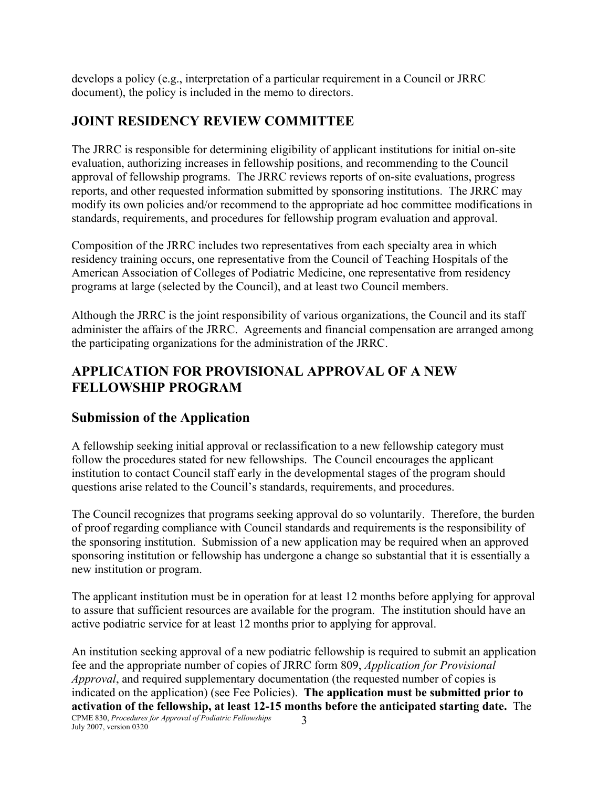develops a policy (e.g., interpretation of a particular requirement in a Council or JRRC document), the policy is included in the memo to directors.

### **JOINT RESIDENCY REVIEW COMMITTEE**

The JRRC is responsible for determining eligibility of applicant institutions for initial on-site evaluation, authorizing increases in fellowship positions, and recommending to the Council approval of fellowship programs. The JRRC reviews reports of on-site evaluations, progress reports, and other requested information submitted by sponsoring institutions. The JRRC may modify its own policies and/or recommend to the appropriate ad hoc committee modifications in standards, requirements, and procedures for fellowship program evaluation and approval.

Composition of the JRRC includes two representatives from each specialty area in which residency training occurs, one representative from the Council of Teaching Hospitals of the American Association of Colleges of Podiatric Medicine, one representative from residency programs at large (selected by the Council), and at least two Council members.

Although the JRRC is the joint responsibility of various organizations, the Council and its staff administer the affairs of the JRRC. Agreements and financial compensation are arranged among the participating organizations for the administration of the JRRC.

#### **APPLICATION FOR PROVISIONAL APPROVAL OF A NEW FELLOWSHIP PROGRAM**

#### **Submission of the Application**

A fellowship seeking initial approval or reclassification to a new fellowship category must follow the procedures stated for new fellowships. The Council encourages the applicant institution to contact Council staff early in the developmental stages of the program should questions arise related to the Council's standards, requirements, and procedures.

The Council recognizes that programs seeking approval do so voluntarily. Therefore, the burden of proof regarding compliance with Council standards and requirements is the responsibility of the sponsoring institution. Submission of a new application may be required when an approved sponsoring institution or fellowship has undergone a change so substantial that it is essentially a new institution or program.

The applicant institution must be in operation for at least 12 months before applying for approval to assure that sufficient resources are available for the program. The institution should have an active podiatric service for at least 12 months prior to applying for approval.

CPME 830, *Procedures for Approval of Podiatric Fellowships* July 2007, version 0320 3 An institution seeking approval of a new podiatric fellowship is required to submit an application fee and the appropriate number of copies of JRRC form 809, *Application for Provisional Approval*, and required supplementary documentation (the requested number of copies is indicated on the application) (see Fee Policies). **The application must be submitted prior to activation of the fellowship, at least 12-15 months before the anticipated starting date.** The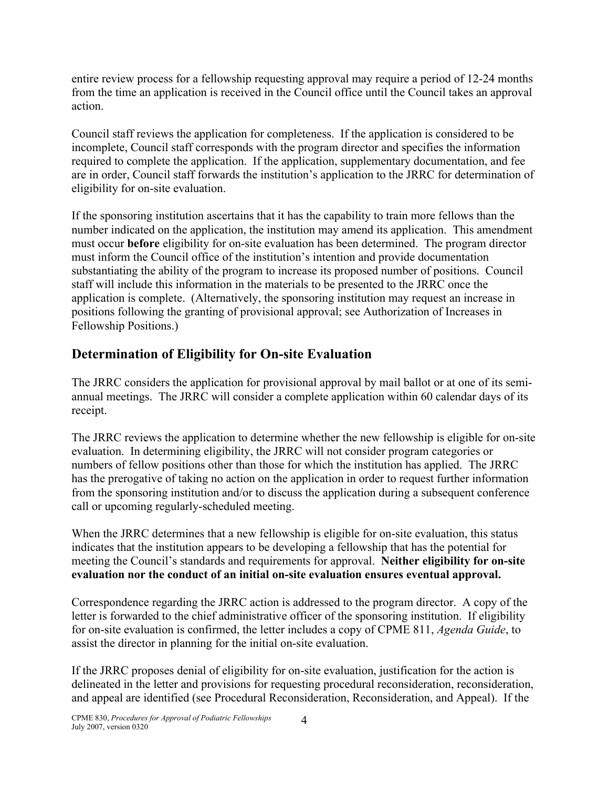entire review process for a fellowship requesting approval may require a period of 12-24 months from the time an application is received in the Council office until the Council takes an approval action.

Council staff reviews the application for completeness. If the application is considered to be incomplete, Council staff corresponds with the program director and specifies the information required to complete the application. If the application, supplementary documentation, and fee are in order, Council staff forwards the institution's application to the JRRC for determination of eligibility for on-site evaluation.

If the sponsoring institution ascertains that it has the capability to train more fellows than the number indicated on the application, the institution may amend its application. This amendment must occur **before** eligibility for on-site evaluation has been determined. The program director must inform the Council office of the institution's intention and provide documentation substantiating the ability of the program to increase its proposed number of positions. Council staff will include this information in the materials to be presented to the JRRC once the application is complete. (Alternatively, the sponsoring institution may request an increase in positions following the granting of provisional approval; see Authorization of Increases in Fellowship Positions.)

## **Determination of Eligibility for On-site Evaluation**

The JRRC considers the application for provisional approval by mail ballot or at one of its semiannual meetings. The JRRC will consider a complete application within 60 calendar days of its receipt.

The JRRC reviews the application to determine whether the new fellowship is eligible for on-site evaluation. In determining eligibility, the JRRC will not consider program categories or numbers of fellow positions other than those for which the institution has applied. The JRRC has the prerogative of taking no action on the application in order to request further information from the sponsoring institution and/or to discuss the application during a subsequent conference call or upcoming regularly-scheduled meeting.

When the JRRC determines that a new fellowship is eligible for on-site evaluation, this status indicates that the institution appears to be developing a fellowship that has the potential for meeting the Council's standards and requirements for approval. **Neither eligibility for on-site evaluation nor the conduct of an initial on-site evaluation ensures eventual approval.**

Correspondence regarding the JRRC action is addressed to the program director. A copy of the letter is forwarded to the chief administrative officer of the sponsoring institution. If eligibility for on-site evaluation is confirmed, the letter includes a copy of CPME 811, *Agenda Guide*, to assist the director in planning for the initial on-site evaluation.

If the JRRC proposes denial of eligibility for on-site evaluation, justification for the action is delineated in the letter and provisions for requesting procedural reconsideration, reconsideration, and appeal are identified (see Procedural Reconsideration, Reconsideration, and Appeal). If the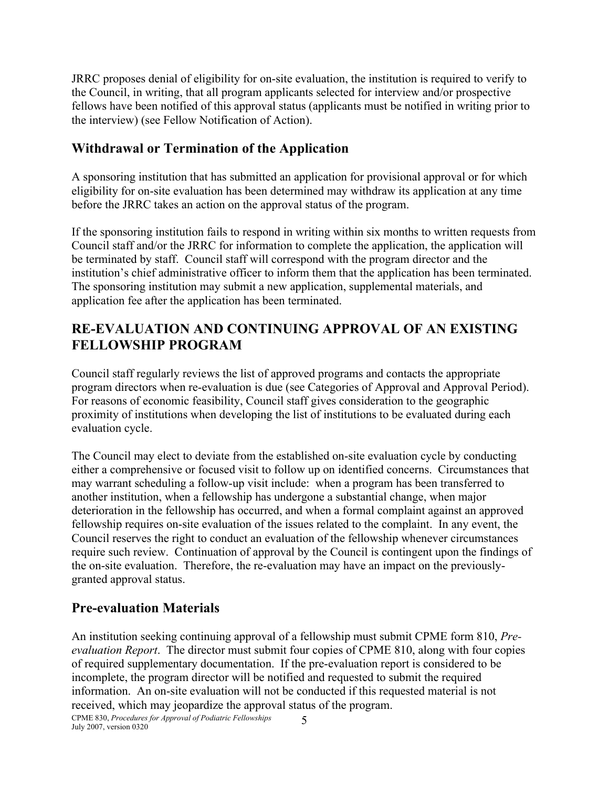JRRC proposes denial of eligibility for on-site evaluation, the institution is required to verify to the Council, in writing, that all program applicants selected for interview and/or prospective fellows have been notified of this approval status (applicants must be notified in writing prior to the interview) (see Fellow Notification of Action).

#### **Withdrawal or Termination of the Application**

A sponsoring institution that has submitted an application for provisional approval or for which eligibility for on-site evaluation has been determined may withdraw its application at any time before the JRRC takes an action on the approval status of the program.

If the sponsoring institution fails to respond in writing within six months to written requests from Council staff and/or the JRRC for information to complete the application, the application will be terminated by staff. Council staff will correspond with the program director and the institution's chief administrative officer to inform them that the application has been terminated. The sponsoring institution may submit a new application, supplemental materials, and application fee after the application has been terminated.

### **RE-EVALUATION AND CONTINUING APPROVAL OF AN EXISTING FELLOWSHIP PROGRAM**

Council staff regularly reviews the list of approved programs and contacts the appropriate program directors when re-evaluation is due (see Categories of Approval and Approval Period). For reasons of economic feasibility, Council staff gives consideration to the geographic proximity of institutions when developing the list of institutions to be evaluated during each evaluation cycle.

The Council may elect to deviate from the established on-site evaluation cycle by conducting either a comprehensive or focused visit to follow up on identified concerns. Circumstances that may warrant scheduling a follow-up visit include: when a program has been transferred to another institution, when a fellowship has undergone a substantial change, when major deterioration in the fellowship has occurred, and when a formal complaint against an approved fellowship requires on-site evaluation of the issues related to the complaint. In any event, the Council reserves the right to conduct an evaluation of the fellowship whenever circumstances require such review. Continuation of approval by the Council is contingent upon the findings of the on-site evaluation. Therefore, the re-evaluation may have an impact on the previouslygranted approval status.

### **Pre-evaluation Materials**

An institution seeking continuing approval of a fellowship must submit CPME form 810, *Preevaluation Report*. The director must submit four copies of CPME 810, along with four copies of required supplementary documentation. If the pre-evaluation report is considered to be incomplete, the program director will be notified and requested to submit the required information. An on-site evaluation will not be conducted if this requested material is not received, which may jeopardize the approval status of the program.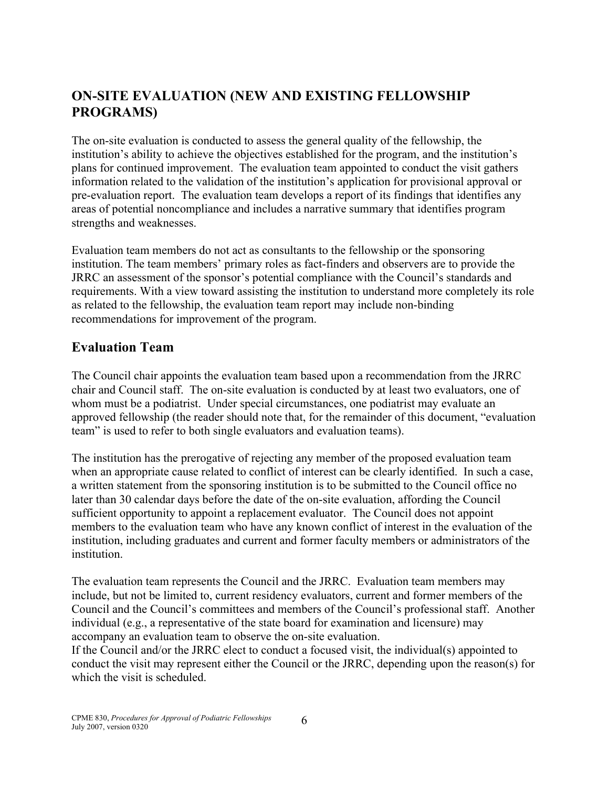## **ON-SITE EVALUATION (NEW AND EXISTING FELLOWSHIP PROGRAMS)**

The on-site evaluation is conducted to assess the general quality of the fellowship, the institution's ability to achieve the objectives established for the program, and the institution's plans for continued improvement. The evaluation team appointed to conduct the visit gathers information related to the validation of the institution's application for provisional approval or pre-evaluation report. The evaluation team develops a report of its findings that identifies any areas of potential noncompliance and includes a narrative summary that identifies program strengths and weaknesses.

Evaluation team members do not act as consultants to the fellowship or the sponsoring institution. The team members' primary roles as fact-finders and observers are to provide the JRRC an assessment of the sponsor's potential compliance with the Council's standards and requirements. With a view toward assisting the institution to understand more completely its role as related to the fellowship, the evaluation team report may include non-binding recommendations for improvement of the program.

#### **Evaluation Team**

The Council chair appoints the evaluation team based upon a recommendation from the JRRC chair and Council staff. The on-site evaluation is conducted by at least two evaluators, one of whom must be a podiatrist. Under special circumstances, one podiatrist may evaluate an approved fellowship (the reader should note that, for the remainder of this document, "evaluation team" is used to refer to both single evaluators and evaluation teams).

The institution has the prerogative of rejecting any member of the proposed evaluation team when an appropriate cause related to conflict of interest can be clearly identified. In such a case, a written statement from the sponsoring institution is to be submitted to the Council office no later than 30 calendar days before the date of the on-site evaluation, affording the Council sufficient opportunity to appoint a replacement evaluator. The Council does not appoint members to the evaluation team who have any known conflict of interest in the evaluation of the institution, including graduates and current and former faculty members or administrators of the institution.

The evaluation team represents the Council and the JRRC. Evaluation team members may include, but not be limited to, current residency evaluators, current and former members of the Council and the Council's committees and members of the Council's professional staff. Another individual (e.g., a representative of the state board for examination and licensure) may accompany an evaluation team to observe the on-site evaluation.

If the Council and/or the JRRC elect to conduct a focused visit, the individual(s) appointed to conduct the visit may represent either the Council or the JRRC, depending upon the reason(s) for which the visit is scheduled.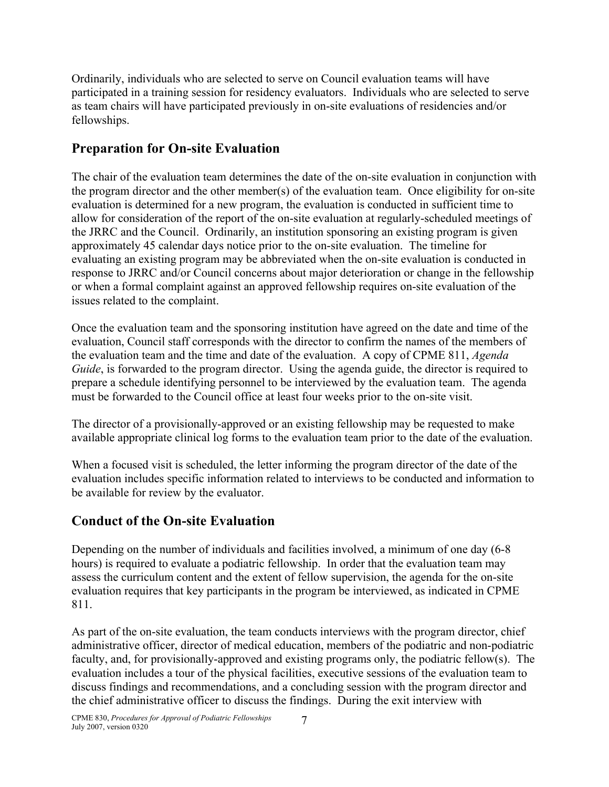Ordinarily, individuals who are selected to serve on Council evaluation teams will have participated in a training session for residency evaluators. Individuals who are selected to serve as team chairs will have participated previously in on-site evaluations of residencies and/or fellowships.

### **Preparation for On-site Evaluation**

The chair of the evaluation team determines the date of the on-site evaluation in conjunction with the program director and the other member(s) of the evaluation team. Once eligibility for on-site evaluation is determined for a new program, the evaluation is conducted in sufficient time to allow for consideration of the report of the on-site evaluation at regularly-scheduled meetings of the JRRC and the Council. Ordinarily, an institution sponsoring an existing program is given approximately 45 calendar days notice prior to the on-site evaluation. The timeline for evaluating an existing program may be abbreviated when the on-site evaluation is conducted in response to JRRC and/or Council concerns about major deterioration or change in the fellowship or when a formal complaint against an approved fellowship requires on-site evaluation of the issues related to the complaint.

Once the evaluation team and the sponsoring institution have agreed on the date and time of the evaluation, Council staff corresponds with the director to confirm the names of the members of the evaluation team and the time and date of the evaluation. A copy of CPME 811, *Agenda Guide*, is forwarded to the program director. Using the agenda guide, the director is required to prepare a schedule identifying personnel to be interviewed by the evaluation team. The agenda must be forwarded to the Council office at least four weeks prior to the on-site visit.

The director of a provisionally-approved or an existing fellowship may be requested to make available appropriate clinical log forms to the evaluation team prior to the date of the evaluation.

When a focused visit is scheduled, the letter informing the program director of the date of the evaluation includes specific information related to interviews to be conducted and information to be available for review by the evaluator.

## **Conduct of the On-site Evaluation**

Depending on the number of individuals and facilities involved, a minimum of one day (6-8 hours) is required to evaluate a podiatric fellowship. In order that the evaluation team may assess the curriculum content and the extent of fellow supervision, the agenda for the on-site evaluation requires that key participants in the program be interviewed, as indicated in CPME 811.

As part of the on-site evaluation, the team conducts interviews with the program director, chief administrative officer, director of medical education, members of the podiatric and non-podiatric faculty, and, for provisionally-approved and existing programs only, the podiatric fellow(s). The evaluation includes a tour of the physical facilities, executive sessions of the evaluation team to discuss findings and recommendations, and a concluding session with the program director and the chief administrative officer to discuss the findings. During the exit interview with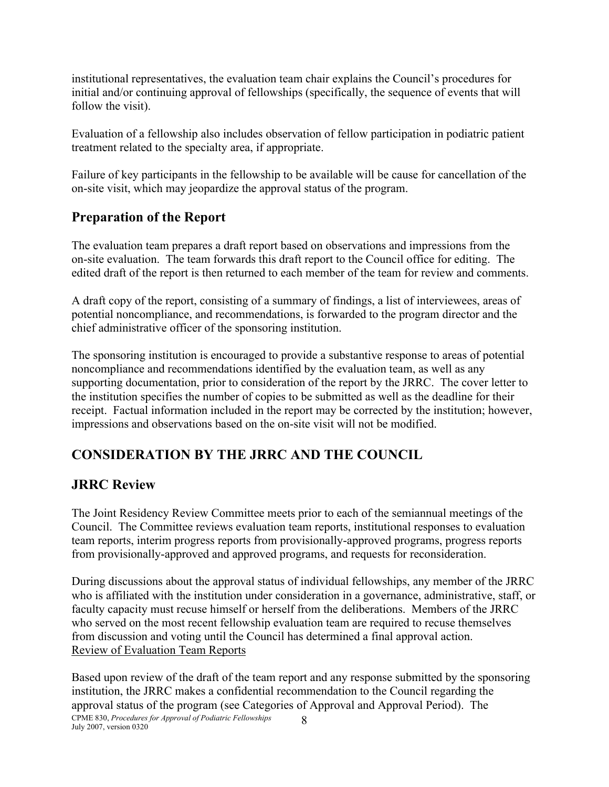institutional representatives, the evaluation team chair explains the Council's procedures for initial and/or continuing approval of fellowships (specifically, the sequence of events that will follow the visit).

Evaluation of a fellowship also includes observation of fellow participation in podiatric patient treatment related to the specialty area, if appropriate.

Failure of key participants in the fellowship to be available will be cause for cancellation of the on-site visit, which may jeopardize the approval status of the program.

### **Preparation of the Report**

The evaluation team prepares a draft report based on observations and impressions from the on-site evaluation. The team forwards this draft report to the Council office for editing. The edited draft of the report is then returned to each member of the team for review and comments.

A draft copy of the report, consisting of a summary of findings, a list of interviewees, areas of potential noncompliance, and recommendations, is forwarded to the program director and the chief administrative officer of the sponsoring institution.

The sponsoring institution is encouraged to provide a substantive response to areas of potential noncompliance and recommendations identified by the evaluation team, as well as any supporting documentation, prior to consideration of the report by the JRRC. The cover letter to the institution specifies the number of copies to be submitted as well as the deadline for their receipt. Factual information included in the report may be corrected by the institution; however, impressions and observations based on the on-site visit will not be modified.

## **CONSIDERATION BY THE JRRC AND THE COUNCIL**

#### **JRRC Review**

The Joint Residency Review Committee meets prior to each of the semiannual meetings of the Council. The Committee reviews evaluation team reports, institutional responses to evaluation team reports, interim progress reports from provisionally-approved programs, progress reports from provisionally-approved and approved programs, and requests for reconsideration.

During discussions about the approval status of individual fellowships, any member of the JRRC who is affiliated with the institution under consideration in a governance, administrative, staff, or faculty capacity must recuse himself or herself from the deliberations. Members of the JRRC who served on the most recent fellowship evaluation team are required to recuse themselves from discussion and voting until the Council has determined a final approval action. Review of Evaluation Team Reports

CPME 830, *Procedures for Approval of Podiatric Fellowships* 8<br>July 2007, version 0320 Based upon review of the draft of the team report and any response submitted by the sponsoring institution, the JRRC makes a confidential recommendation to the Council regarding the approval status of the program (see Categories of Approval and Approval Period). The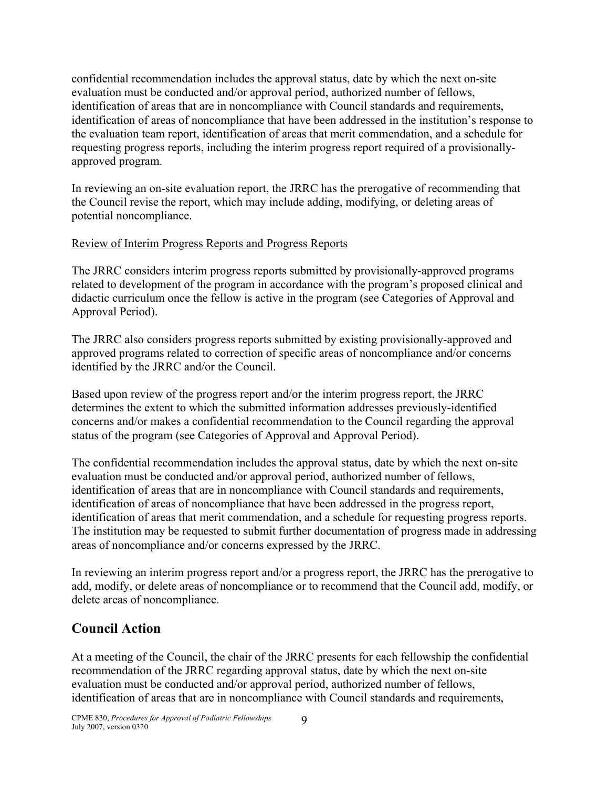confidential recommendation includes the approval status, date by which the next on-site evaluation must be conducted and/or approval period, authorized number of fellows, identification of areas that are in noncompliance with Council standards and requirements, identification of areas of noncompliance that have been addressed in the institution's response to the evaluation team report, identification of areas that merit commendation, and a schedule for requesting progress reports, including the interim progress report required of a provisionallyapproved program.

In reviewing an on-site evaluation report, the JRRC has the prerogative of recommending that the Council revise the report, which may include adding, modifying, or deleting areas of potential noncompliance.

#### Review of Interim Progress Reports and Progress Reports

The JRRC considers interim progress reports submitted by provisionally-approved programs related to development of the program in accordance with the program's proposed clinical and didactic curriculum once the fellow is active in the program (see Categories of Approval and Approval Period).

The JRRC also considers progress reports submitted by existing provisionally-approved and approved programs related to correction of specific areas of noncompliance and/or concerns identified by the JRRC and/or the Council.

Based upon review of the progress report and/or the interim progress report, the JRRC determines the extent to which the submitted information addresses previously-identified concerns and/or makes a confidential recommendation to the Council regarding the approval status of the program (see Categories of Approval and Approval Period).

The confidential recommendation includes the approval status, date by which the next on-site evaluation must be conducted and/or approval period, authorized number of fellows, identification of areas that are in noncompliance with Council standards and requirements, identification of areas of noncompliance that have been addressed in the progress report, identification of areas that merit commendation, and a schedule for requesting progress reports. The institution may be requested to submit further documentation of progress made in addressing areas of noncompliance and/or concerns expressed by the JRRC.

In reviewing an interim progress report and/or a progress report, the JRRC has the prerogative to add, modify, or delete areas of noncompliance or to recommend that the Council add, modify, or delete areas of noncompliance.

### **Council Action**

At a meeting of the Council, the chair of the JRRC presents for each fellowship the confidential recommendation of the JRRC regarding approval status, date by which the next on-site evaluation must be conducted and/or approval period, authorized number of fellows, identification of areas that are in noncompliance with Council standards and requirements,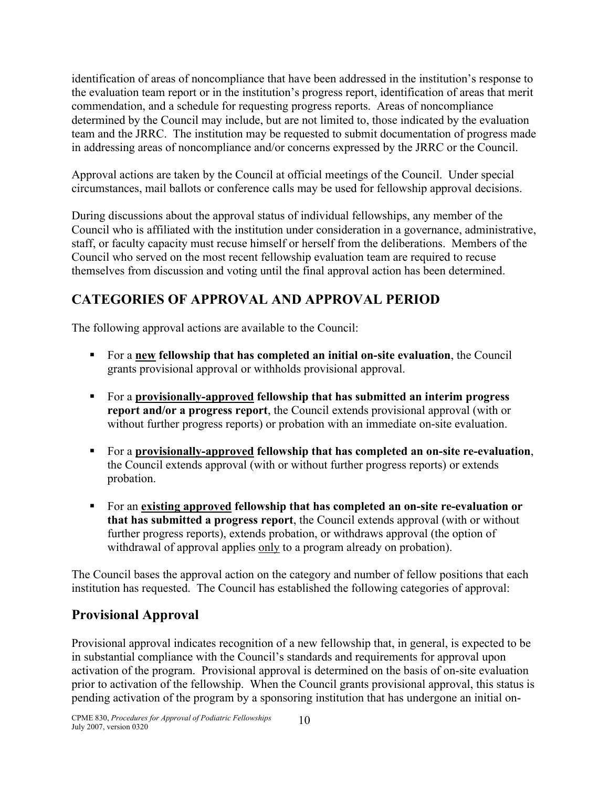identification of areas of noncompliance that have been addressed in the institution's response to the evaluation team report or in the institution's progress report, identification of areas that merit commendation, and a schedule for requesting progress reports. Areas of noncompliance determined by the Council may include, but are not limited to, those indicated by the evaluation team and the JRRC. The institution may be requested to submit documentation of progress made in addressing areas of noncompliance and/or concerns expressed by the JRRC or the Council.

Approval actions are taken by the Council at official meetings of the Council. Under special circumstances, mail ballots or conference calls may be used for fellowship approval decisions.

During discussions about the approval status of individual fellowships, any member of the Council who is affiliated with the institution under consideration in a governance, administrative, staff, or faculty capacity must recuse himself or herself from the deliberations. Members of the Council who served on the most recent fellowship evaluation team are required to recuse themselves from discussion and voting until the final approval action has been determined.

## **CATEGORIES OF APPROVAL AND APPROVAL PERIOD**

The following approval actions are available to the Council:

- For a **new fellowship that has completed an initial on-site evaluation**, the Council grants provisional approval or withholds provisional approval.
- For a **provisionally-approved fellowship that has submitted an interim progress report and/or a progress report**, the Council extends provisional approval (with or without further progress reports) or probation with an immediate on-site evaluation.
- For a **provisionally-approved fellowship that has completed an on-site re-evaluation**, the Council extends approval (with or without further progress reports) or extends probation.
- For an **existing approved fellowship that has completed an on-site re-evaluation or that has submitted a progress report**, the Council extends approval (with or without further progress reports), extends probation, or withdraws approval (the option of withdrawal of approval applies only to a program already on probation).

The Council bases the approval action on the category and number of fellow positions that each institution has requested. The Council has established the following categories of approval:

## **Provisional Approval**

Provisional approval indicates recognition of a new fellowship that, in general, is expected to be in substantial compliance with the Council's standards and requirements for approval upon activation of the program. Provisional approval is determined on the basis of on-site evaluation prior to activation of the fellowship. When the Council grants provisional approval, this status is pending activation of the program by a sponsoring institution that has undergone an initial on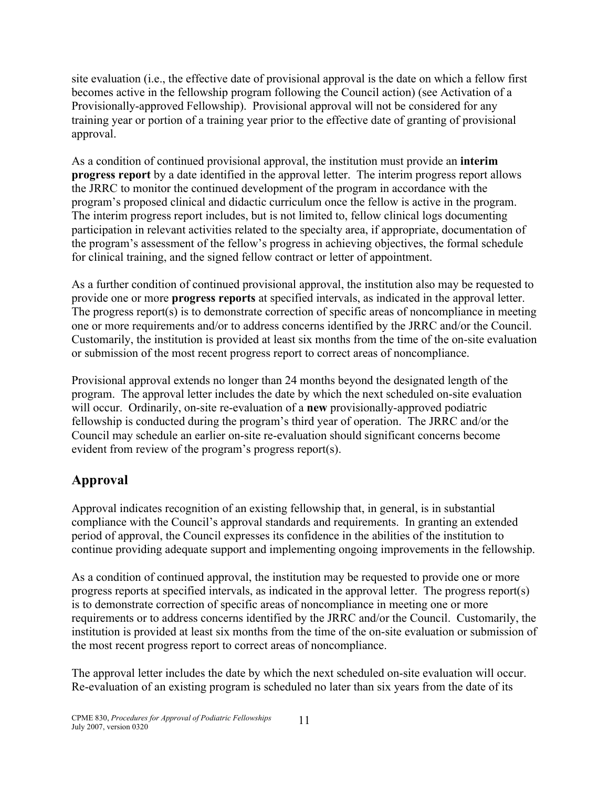site evaluation (i.e., the effective date of provisional approval is the date on which a fellow first becomes active in the fellowship program following the Council action) (see Activation of a Provisionally-approved Fellowship). Provisional approval will not be considered for any training year or portion of a training year prior to the effective date of granting of provisional approval.

As a condition of continued provisional approval, the institution must provide an **interim progress report** by a date identified in the approval letter. The interim progress report allows the JRRC to monitor the continued development of the program in accordance with the program's proposed clinical and didactic curriculum once the fellow is active in the program. The interim progress report includes, but is not limited to, fellow clinical logs documenting participation in relevant activities related to the specialty area, if appropriate, documentation of the program's assessment of the fellow's progress in achieving objectives, the formal schedule for clinical training, and the signed fellow contract or letter of appointment.

As a further condition of continued provisional approval, the institution also may be requested to provide one or more **progress reports** at specified intervals, as indicated in the approval letter. The progress report(s) is to demonstrate correction of specific areas of noncompliance in meeting one or more requirements and/or to address concerns identified by the JRRC and/or the Council. Customarily, the institution is provided at least six months from the time of the on-site evaluation or submission of the most recent progress report to correct areas of noncompliance.

Provisional approval extends no longer than 24 months beyond the designated length of the program. The approval letter includes the date by which the next scheduled on-site evaluation will occur. Ordinarily, on-site re-evaluation of a **new** provisionally-approved podiatric fellowship is conducted during the program's third year of operation. The JRRC and/or the Council may schedule an earlier on-site re-evaluation should significant concerns become evident from review of the program's progress report(s).

## **Approval**

Approval indicates recognition of an existing fellowship that, in general, is in substantial compliance with the Council's approval standards and requirements. In granting an extended period of approval, the Council expresses its confidence in the abilities of the institution to continue providing adequate support and implementing ongoing improvements in the fellowship.

As a condition of continued approval, the institution may be requested to provide one or more progress reports at specified intervals, as indicated in the approval letter. The progress report(s) is to demonstrate correction of specific areas of noncompliance in meeting one or more requirements or to address concerns identified by the JRRC and/or the Council. Customarily, the institution is provided at least six months from the time of the on-site evaluation or submission of the most recent progress report to correct areas of noncompliance.

The approval letter includes the date by which the next scheduled on-site evaluation will occur. Re-evaluation of an existing program is scheduled no later than six years from the date of its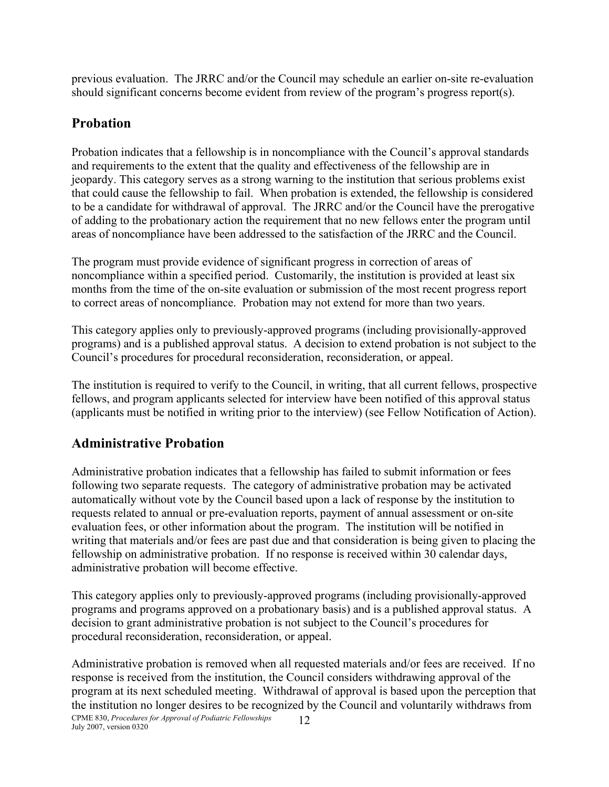previous evaluation. The JRRC and/or the Council may schedule an earlier on-site re-evaluation should significant concerns become evident from review of the program's progress report(s).

#### **Probation**

Probation indicates that a fellowship is in noncompliance with the Council's approval standards and requirements to the extent that the quality and effectiveness of the fellowship are in jeopardy. This category serves as a strong warning to the institution that serious problems exist that could cause the fellowship to fail. When probation is extended, the fellowship is considered to be a candidate for withdrawal of approval. The JRRC and/or the Council have the prerogative of adding to the probationary action the requirement that no new fellows enter the program until areas of noncompliance have been addressed to the satisfaction of the JRRC and the Council.

The program must provide evidence of significant progress in correction of areas of noncompliance within a specified period. Customarily, the institution is provided at least six months from the time of the on-site evaluation or submission of the most recent progress report to correct areas of noncompliance. Probation may not extend for more than two years.

This category applies only to previously-approved programs (including provisionally-approved programs) and is a published approval status. A decision to extend probation is not subject to the Council's procedures for procedural reconsideration, reconsideration, or appeal.

The institution is required to verify to the Council, in writing, that all current fellows, prospective fellows, and program applicants selected for interview have been notified of this approval status (applicants must be notified in writing prior to the interview) (see Fellow Notification of Action).

#### **Administrative Probation**

Administrative probation indicates that a fellowship has failed to submit information or fees following two separate requests. The category of administrative probation may be activated automatically without vote by the Council based upon a lack of response by the institution to requests related to annual or pre-evaluation reports, payment of annual assessment or on-site evaluation fees, or other information about the program. The institution will be notified in writing that materials and/or fees are past due and that consideration is being given to placing the fellowship on administrative probation. If no response is received within 30 calendar days, administrative probation will become effective.

This category applies only to previously-approved programs (including provisionally-approved programs and programs approved on a probationary basis) and is a published approval status. A decision to grant administrative probation is not subject to the Council's procedures for procedural reconsideration, reconsideration, or appeal.

CPME 830, *Procedures for Approval of Podiatric Fellowships* July 2007, version 0320 12 Administrative probation is removed when all requested materials and/or fees are received. If no response is received from the institution, the Council considers withdrawing approval of the program at its next scheduled meeting. Withdrawal of approval is based upon the perception that the institution no longer desires to be recognized by the Council and voluntarily withdraws from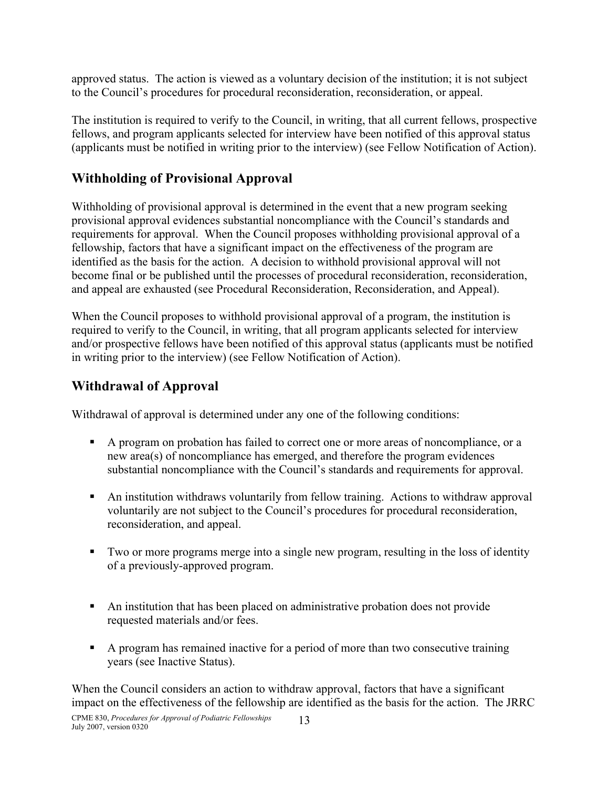approved status. The action is viewed as a voluntary decision of the institution; it is not subject to the Council's procedures for procedural reconsideration, reconsideration, or appeal.

The institution is required to verify to the Council, in writing, that all current fellows, prospective fellows, and program applicants selected for interview have been notified of this approval status (applicants must be notified in writing prior to the interview) (see Fellow Notification of Action).

#### **Withholding of Provisional Approval**

Withholding of provisional approval is determined in the event that a new program seeking provisional approval evidences substantial noncompliance with the Council's standards and requirements for approval. When the Council proposes withholding provisional approval of a fellowship, factors that have a significant impact on the effectiveness of the program are identified as the basis for the action. A decision to withhold provisional approval will not become final or be published until the processes of procedural reconsideration, reconsideration, and appeal are exhausted (see Procedural Reconsideration, Reconsideration, and Appeal).

When the Council proposes to withhold provisional approval of a program, the institution is required to verify to the Council, in writing, that all program applicants selected for interview and/or prospective fellows have been notified of this approval status (applicants must be notified in writing prior to the interview) (see Fellow Notification of Action).

#### **Withdrawal of Approval**

Withdrawal of approval is determined under any one of the following conditions:

- A program on probation has failed to correct one or more areas of noncompliance, or a new area(s) of noncompliance has emerged, and therefore the program evidences substantial noncompliance with the Council's standards and requirements for approval.
- An institution withdraws voluntarily from fellow training. Actions to withdraw approval voluntarily are not subject to the Council's procedures for procedural reconsideration, reconsideration, and appeal.
- Two or more programs merge into a single new program, resulting in the loss of identity of a previously-approved program.
- An institution that has been placed on administrative probation does not provide requested materials and/or fees.
- A program has remained inactive for a period of more than two consecutive training years (see Inactive Status).

When the Council considers an action to withdraw approval, factors that have a significant impact on the effectiveness of the fellowship are identified as the basis for the action. The JRRC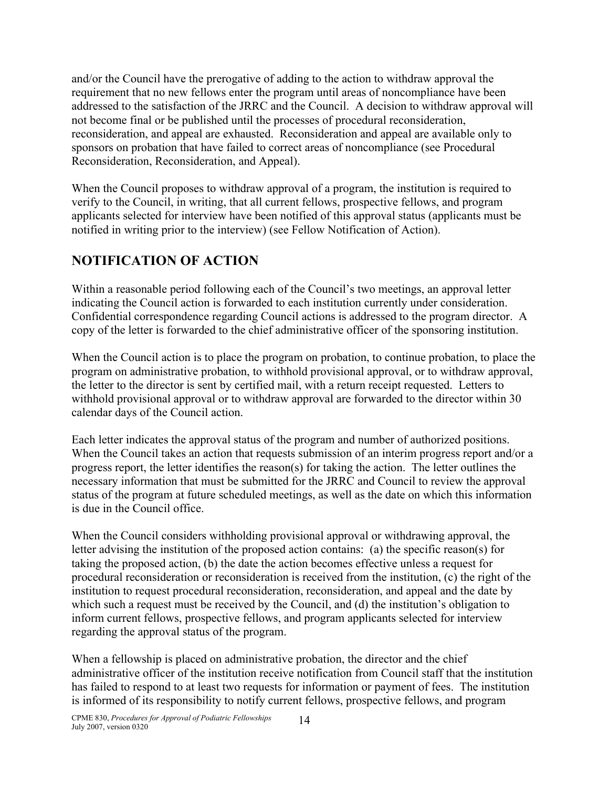and/or the Council have the prerogative of adding to the action to withdraw approval the requirement that no new fellows enter the program until areas of noncompliance have been addressed to the satisfaction of the JRRC and the Council. A decision to withdraw approval will not become final or be published until the processes of procedural reconsideration, reconsideration, and appeal are exhausted. Reconsideration and appeal are available only to sponsors on probation that have failed to correct areas of noncompliance (see Procedural Reconsideration, Reconsideration, and Appeal).

When the Council proposes to withdraw approval of a program, the institution is required to verify to the Council, in writing, that all current fellows, prospective fellows, and program applicants selected for interview have been notified of this approval status (applicants must be notified in writing prior to the interview) (see Fellow Notification of Action).

## **NOTIFICATION OF ACTION**

Within a reasonable period following each of the Council's two meetings, an approval letter indicating the Council action is forwarded to each institution currently under consideration. Confidential correspondence regarding Council actions is addressed to the program director. A copy of the letter is forwarded to the chief administrative officer of the sponsoring institution.

When the Council action is to place the program on probation, to continue probation, to place the program on administrative probation, to withhold provisional approval, or to withdraw approval, the letter to the director is sent by certified mail, with a return receipt requested. Letters to withhold provisional approval or to withdraw approval are forwarded to the director within 30 calendar days of the Council action.

Each letter indicates the approval status of the program and number of authorized positions. When the Council takes an action that requests submission of an interim progress report and/or a progress report, the letter identifies the reason(s) for taking the action. The letter outlines the necessary information that must be submitted for the JRRC and Council to review the approval status of the program at future scheduled meetings, as well as the date on which this information is due in the Council office.

When the Council considers withholding provisional approval or withdrawing approval, the letter advising the institution of the proposed action contains: (a) the specific reason(s) for taking the proposed action, (b) the date the action becomes effective unless a request for procedural reconsideration or reconsideration is received from the institution, (c) the right of the institution to request procedural reconsideration, reconsideration, and appeal and the date by which such a request must be received by the Council, and (d) the institution's obligation to inform current fellows, prospective fellows, and program applicants selected for interview regarding the approval status of the program.

When a fellowship is placed on administrative probation, the director and the chief administrative officer of the institution receive notification from Council staff that the institution has failed to respond to at least two requests for information or payment of fees. The institution is informed of its responsibility to notify current fellows, prospective fellows, and program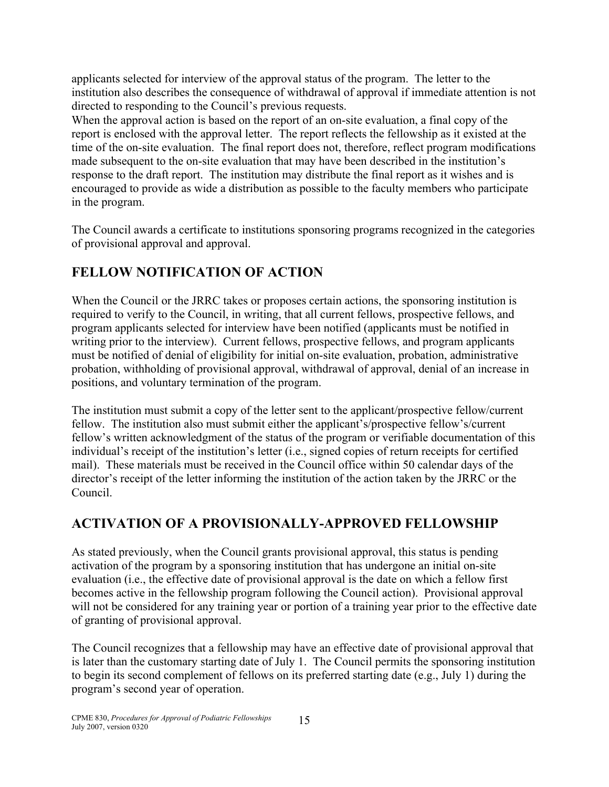applicants selected for interview of the approval status of the program. The letter to the institution also describes the consequence of withdrawal of approval if immediate attention is not directed to responding to the Council's previous requests.

When the approval action is based on the report of an on-site evaluation, a final copy of the report is enclosed with the approval letter. The report reflects the fellowship as it existed at the time of the on-site evaluation. The final report does not, therefore, reflect program modifications made subsequent to the on-site evaluation that may have been described in the institution's response to the draft report. The institution may distribute the final report as it wishes and is encouraged to provide as wide a distribution as possible to the faculty members who participate in the program.

The Council awards a certificate to institutions sponsoring programs recognized in the categories of provisional approval and approval.

## **FELLOW NOTIFICATION OF ACTION**

When the Council or the JRRC takes or proposes certain actions, the sponsoring institution is required to verify to the Council, in writing, that all current fellows, prospective fellows, and program applicants selected for interview have been notified (applicants must be notified in writing prior to the interview). Current fellows, prospective fellows, and program applicants must be notified of denial of eligibility for initial on-site evaluation, probation, administrative probation, withholding of provisional approval, withdrawal of approval, denial of an increase in positions, and voluntary termination of the program.

The institution must submit a copy of the letter sent to the applicant/prospective fellow/current fellow. The institution also must submit either the applicant's/prospective fellow's/current fellow's written acknowledgment of the status of the program or verifiable documentation of this individual's receipt of the institution's letter (i.e., signed copies of return receipts for certified mail). These materials must be received in the Council office within 50 calendar days of the director's receipt of the letter informing the institution of the action taken by the JRRC or the Council.

## **ACTIVATION OF A PROVISIONALLY-APPROVED FELLOWSHIP**

As stated previously, when the Council grants provisional approval, this status is pending activation of the program by a sponsoring institution that has undergone an initial on-site evaluation (i.e., the effective date of provisional approval is the date on which a fellow first becomes active in the fellowship program following the Council action). Provisional approval will not be considered for any training year or portion of a training year prior to the effective date of granting of provisional approval.

The Council recognizes that a fellowship may have an effective date of provisional approval that is later than the customary starting date of July 1. The Council permits the sponsoring institution to begin its second complement of fellows on its preferred starting date (e.g., July 1) during the program's second year of operation.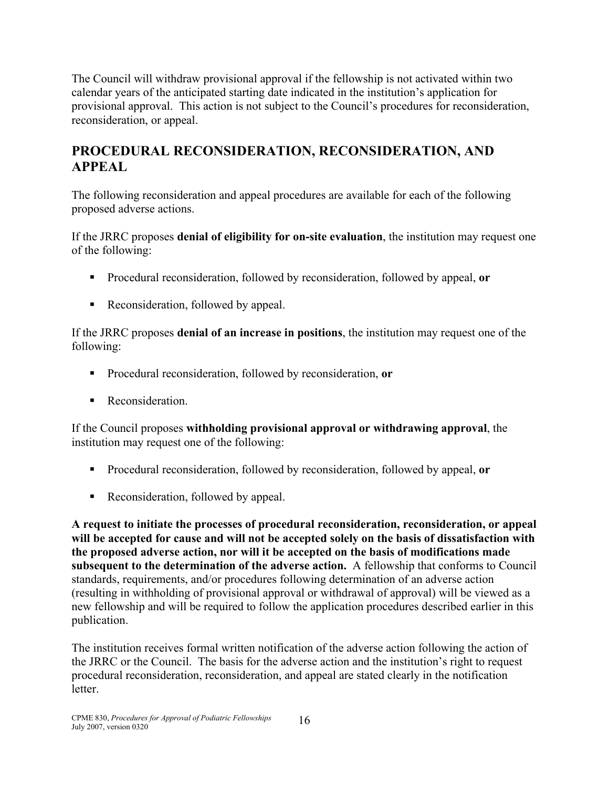The Council will withdraw provisional approval if the fellowship is not activated within two calendar years of the anticipated starting date indicated in the institution's application for provisional approval. This action is not subject to the Council's procedures for reconsideration, reconsideration, or appeal.

## **PROCEDURAL RECONSIDERATION, RECONSIDERATION, AND APPEAL**

The following reconsideration and appeal procedures are available for each of the following proposed adverse actions.

If the JRRC proposes **denial of eligibility for on-site evaluation**, the institution may request one of the following:

- Procedural reconsideration, followed by reconsideration, followed by appeal, **or**
- Reconsideration, followed by appeal.

If the JRRC proposes **denial of an increase in positions**, the institution may request one of the following:

- Procedural reconsideration, followed by reconsideration, **or**
- **Reconsideration.**

If the Council proposes **withholding provisional approval or withdrawing approval**, the institution may request one of the following:

- Procedural reconsideration, followed by reconsideration, followed by appeal, **or**
- Reconsideration, followed by appeal.

**A request to initiate the processes of procedural reconsideration, reconsideration, or appeal will be accepted for cause and will not be accepted solely on the basis of dissatisfaction with the proposed adverse action, nor will it be accepted on the basis of modifications made subsequent to the determination of the adverse action.** A fellowship that conforms to Council standards, requirements, and/or procedures following determination of an adverse action (resulting in withholding of provisional approval or withdrawal of approval) will be viewed as a new fellowship and will be required to follow the application procedures described earlier in this publication.

The institution receives formal written notification of the adverse action following the action of the JRRC or the Council. The basis for the adverse action and the institution's right to request procedural reconsideration, reconsideration, and appeal are stated clearly in the notification letter.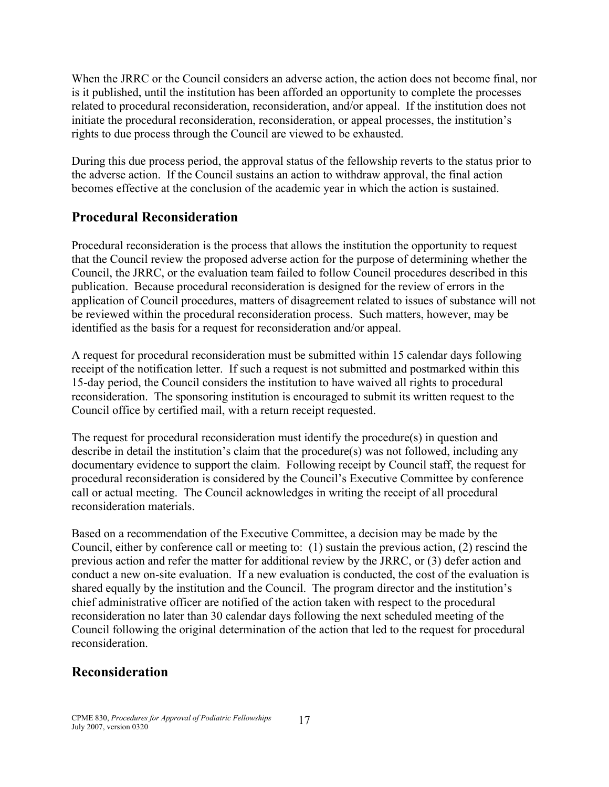When the JRRC or the Council considers an adverse action, the action does not become final, nor is it published, until the institution has been afforded an opportunity to complete the processes related to procedural reconsideration, reconsideration, and/or appeal. If the institution does not initiate the procedural reconsideration, reconsideration, or appeal processes, the institution's rights to due process through the Council are viewed to be exhausted.

During this due process period, the approval status of the fellowship reverts to the status prior to the adverse action. If the Council sustains an action to withdraw approval, the final action becomes effective at the conclusion of the academic year in which the action is sustained.

#### **Procedural Reconsideration**

Procedural reconsideration is the process that allows the institution the opportunity to request that the Council review the proposed adverse action for the purpose of determining whether the Council, the JRRC, or the evaluation team failed to follow Council procedures described in this publication. Because procedural reconsideration is designed for the review of errors in the application of Council procedures, matters of disagreement related to issues of substance will not be reviewed within the procedural reconsideration process. Such matters, however, may be identified as the basis for a request for reconsideration and/or appeal.

A request for procedural reconsideration must be submitted within 15 calendar days following receipt of the notification letter. If such a request is not submitted and postmarked within this 15-day period, the Council considers the institution to have waived all rights to procedural reconsideration. The sponsoring institution is encouraged to submit its written request to the Council office by certified mail, with a return receipt requested.

The request for procedural reconsideration must identify the procedure(s) in question and describe in detail the institution's claim that the procedure(s) was not followed, including any documentary evidence to support the claim. Following receipt by Council staff, the request for procedural reconsideration is considered by the Council's Executive Committee by conference call or actual meeting. The Council acknowledges in writing the receipt of all procedural reconsideration materials.

Based on a recommendation of the Executive Committee, a decision may be made by the Council, either by conference call or meeting to: (1) sustain the previous action, (2) rescind the previous action and refer the matter for additional review by the JRRC, or (3) defer action and conduct a new on-site evaluation. If a new evaluation is conducted, the cost of the evaluation is shared equally by the institution and the Council. The program director and the institution's chief administrative officer are notified of the action taken with respect to the procedural reconsideration no later than 30 calendar days following the next scheduled meeting of the Council following the original determination of the action that led to the request for procedural reconsideration.

### **Reconsideration**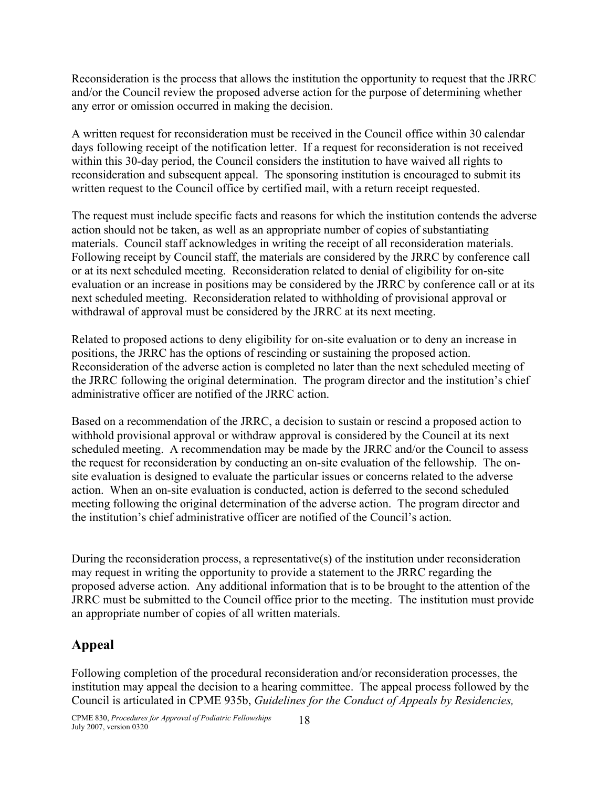Reconsideration is the process that allows the institution the opportunity to request that the JRRC and/or the Council review the proposed adverse action for the purpose of determining whether any error or omission occurred in making the decision.

A written request for reconsideration must be received in the Council office within 30 calendar days following receipt of the notification letter. If a request for reconsideration is not received within this 30-day period, the Council considers the institution to have waived all rights to reconsideration and subsequent appeal. The sponsoring institution is encouraged to submit its written request to the Council office by certified mail, with a return receipt requested.

The request must include specific facts and reasons for which the institution contends the adverse action should not be taken, as well as an appropriate number of copies of substantiating materials. Council staff acknowledges in writing the receipt of all reconsideration materials. Following receipt by Council staff, the materials are considered by the JRRC by conference call or at its next scheduled meeting. Reconsideration related to denial of eligibility for on-site evaluation or an increase in positions may be considered by the JRRC by conference call or at its next scheduled meeting. Reconsideration related to withholding of provisional approval or withdrawal of approval must be considered by the JRRC at its next meeting.

Related to proposed actions to deny eligibility for on-site evaluation or to deny an increase in positions, the JRRC has the options of rescinding or sustaining the proposed action. Reconsideration of the adverse action is completed no later than the next scheduled meeting of the JRRC following the original determination. The program director and the institution's chief administrative officer are notified of the JRRC action.

Based on a recommendation of the JRRC, a decision to sustain or rescind a proposed action to withhold provisional approval or withdraw approval is considered by the Council at its next scheduled meeting. A recommendation may be made by the JRRC and/or the Council to assess the request for reconsideration by conducting an on-site evaluation of the fellowship. The onsite evaluation is designed to evaluate the particular issues or concerns related to the adverse action. When an on-site evaluation is conducted, action is deferred to the second scheduled meeting following the original determination of the adverse action. The program director and the institution's chief administrative officer are notified of the Council's action.

During the reconsideration process, a representative(s) of the institution under reconsideration may request in writing the opportunity to provide a statement to the JRRC regarding the proposed adverse action. Any additional information that is to be brought to the attention of the JRRC must be submitted to the Council office prior to the meeting. The institution must provide an appropriate number of copies of all written materials.

### **Appeal**

Following completion of the procedural reconsideration and/or reconsideration processes, the institution may appeal the decision to a hearing committee. The appeal process followed by the Council is articulated in CPME 935b, *Guidelines for the Conduct of Appeals by Residencies,*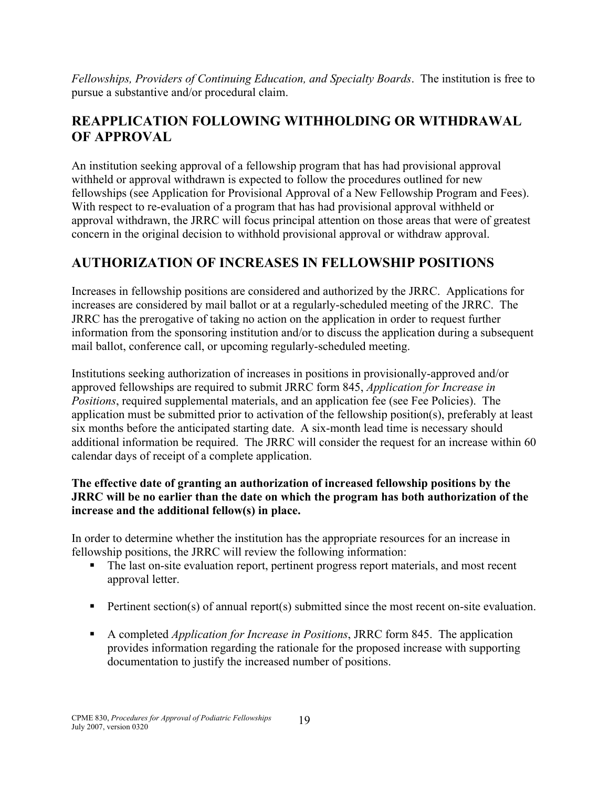*Fellowships, Providers of Continuing Education, and Specialty Boards*. The institution is free to pursue a substantive and/or procedural claim.

## **REAPPLICATION FOLLOWING WITHHOLDING OR WITHDRAWAL OF APPROVAL**

An institution seeking approval of a fellowship program that has had provisional approval withheld or approval withdrawn is expected to follow the procedures outlined for new fellowships (see Application for Provisional Approval of a New Fellowship Program and Fees). With respect to re-evaluation of a program that has had provisional approval withheld or approval withdrawn, the JRRC will focus principal attention on those areas that were of greatest concern in the original decision to withhold provisional approval or withdraw approval.

## **AUTHORIZATION OF INCREASES IN FELLOWSHIP POSITIONS**

Increases in fellowship positions are considered and authorized by the JRRC. Applications for increases are considered by mail ballot or at a regularly-scheduled meeting of the JRRC. The JRRC has the prerogative of taking no action on the application in order to request further information from the sponsoring institution and/or to discuss the application during a subsequent mail ballot, conference call, or upcoming regularly-scheduled meeting.

Institutions seeking authorization of increases in positions in provisionally-approved and/or approved fellowships are required to submit JRRC form 845, *Application for Increase in Positions*, required supplemental materials, and an application fee (see Fee Policies). The application must be submitted prior to activation of the fellowship position(s), preferably at least six months before the anticipated starting date. A six-month lead time is necessary should additional information be required. The JRRC will consider the request for an increase within 60 calendar days of receipt of a complete application.

#### **The effective date of granting an authorization of increased fellowship positions by the JRRC will be no earlier than the date on which the program has both authorization of the increase and the additional fellow(s) in place.**

In order to determine whether the institution has the appropriate resources for an increase in fellowship positions, the JRRC will review the following information:

- The last on-site evaluation report, pertinent progress report materials, and most recent approval letter.
- Pertinent section(s) of annual report(s) submitted since the most recent on-site evaluation.
- A completed *Application for Increase in Positions*, JRRC form 845. The application provides information regarding the rationale for the proposed increase with supporting documentation to justify the increased number of positions.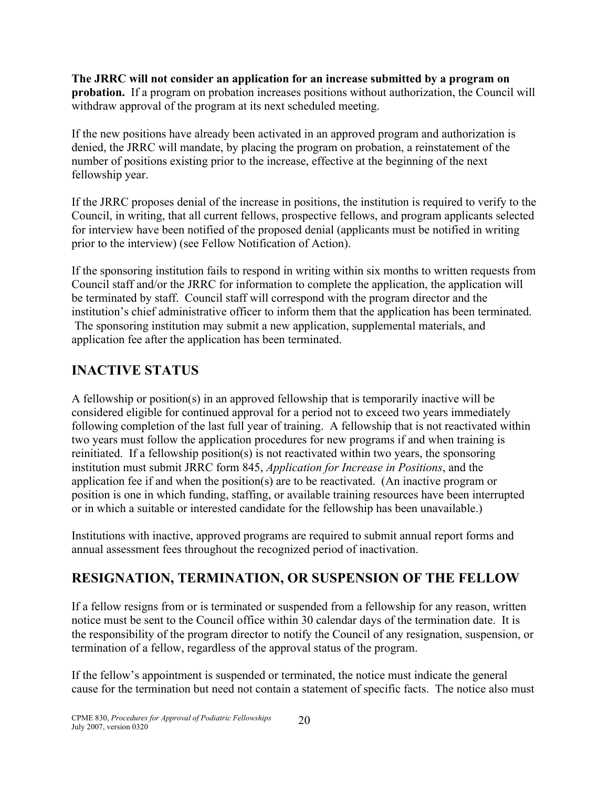**The JRRC will not consider an application for an increase submitted by a program on probation.** If a program on probation increases positions without authorization, the Council will withdraw approval of the program at its next scheduled meeting.

If the new positions have already been activated in an approved program and authorization is denied, the JRRC will mandate, by placing the program on probation, a reinstatement of the number of positions existing prior to the increase, effective at the beginning of the next fellowship year.

If the JRRC proposes denial of the increase in positions, the institution is required to verify to the Council, in writing, that all current fellows, prospective fellows, and program applicants selected for interview have been notified of the proposed denial (applicants must be notified in writing prior to the interview) (see Fellow Notification of Action).

If the sponsoring institution fails to respond in writing within six months to written requests from Council staff and/or the JRRC for information to complete the application, the application will be terminated by staff. Council staff will correspond with the program director and the institution's chief administrative officer to inform them that the application has been terminated. The sponsoring institution may submit a new application, supplemental materials, and application fee after the application has been terminated.

## **INACTIVE STATUS**

A fellowship or position(s) in an approved fellowship that is temporarily inactive will be considered eligible for continued approval for a period not to exceed two years immediately following completion of the last full year of training. A fellowship that is not reactivated within two years must follow the application procedures for new programs if and when training is reinitiated. If a fellowship position(s) is not reactivated within two years, the sponsoring institution must submit JRRC form 845, *Application for Increase in Positions*, and the application fee if and when the position(s) are to be reactivated. (An inactive program or position is one in which funding, staffing, or available training resources have been interrupted or in which a suitable or interested candidate for the fellowship has been unavailable.)

Institutions with inactive, approved programs are required to submit annual report forms and annual assessment fees throughout the recognized period of inactivation.

## **RESIGNATION, TERMINATION, OR SUSPENSION OF THE FELLOW**

If a fellow resigns from or is terminated or suspended from a fellowship for any reason, written notice must be sent to the Council office within 30 calendar days of the termination date. It is the responsibility of the program director to notify the Council of any resignation, suspension, or termination of a fellow, regardless of the approval status of the program.

If the fellow's appointment is suspended or terminated, the notice must indicate the general cause for the termination but need not contain a statement of specific facts. The notice also must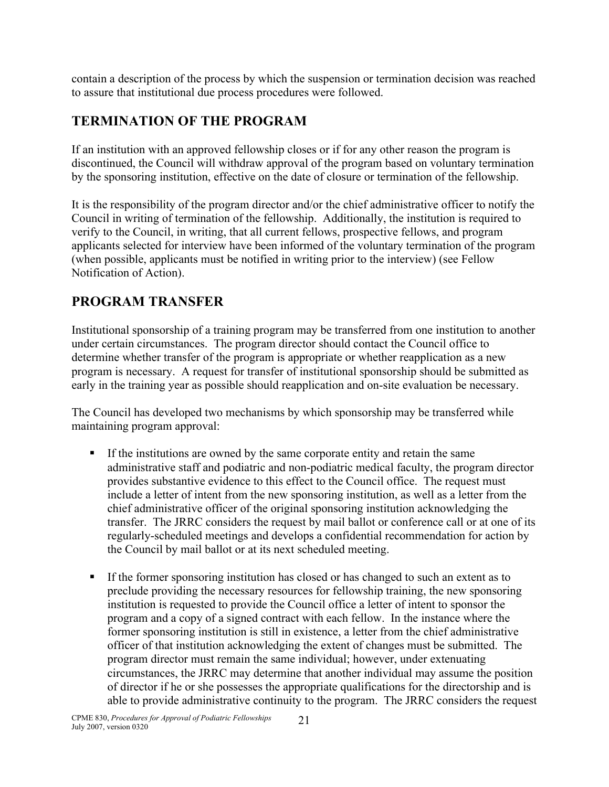contain a description of the process by which the suspension or termination decision was reached to assure that institutional due process procedures were followed.

## **TERMINATION OF THE PROGRAM**

If an institution with an approved fellowship closes or if for any other reason the program is discontinued, the Council will withdraw approval of the program based on voluntary termination by the sponsoring institution, effective on the date of closure or termination of the fellowship.

It is the responsibility of the program director and/or the chief administrative officer to notify the Council in writing of termination of the fellowship. Additionally, the institution is required to verify to the Council, in writing, that all current fellows, prospective fellows, and program applicants selected for interview have been informed of the voluntary termination of the program (when possible, applicants must be notified in writing prior to the interview) (see Fellow Notification of Action).

## **PROGRAM TRANSFER**

Institutional sponsorship of a training program may be transferred from one institution to another under certain circumstances. The program director should contact the Council office to determine whether transfer of the program is appropriate or whether reapplication as a new program is necessary. A request for transfer of institutional sponsorship should be submitted as early in the training year as possible should reapplication and on-site evaluation be necessary.

The Council has developed two mechanisms by which sponsorship may be transferred while maintaining program approval:

- If the institutions are owned by the same corporate entity and retain the same administrative staff and podiatric and non-podiatric medical faculty, the program director provides substantive evidence to this effect to the Council office. The request must include a letter of intent from the new sponsoring institution, as well as a letter from the chief administrative officer of the original sponsoring institution acknowledging the transfer. The JRRC considers the request by mail ballot or conference call or at one of its regularly-scheduled meetings and develops a confidential recommendation for action by the Council by mail ballot or at its next scheduled meeting.
- If the former sponsoring institution has closed or has changed to such an extent as to preclude providing the necessary resources for fellowship training, the new sponsoring institution is requested to provide the Council office a letter of intent to sponsor the program and a copy of a signed contract with each fellow. In the instance where the former sponsoring institution is still in existence, a letter from the chief administrative officer of that institution acknowledging the extent of changes must be submitted. The program director must remain the same individual; however, under extenuating circumstances, the JRRC may determine that another individual may assume the position of director if he or she possesses the appropriate qualifications for the directorship and is able to provide administrative continuity to the program. The JRRC considers the request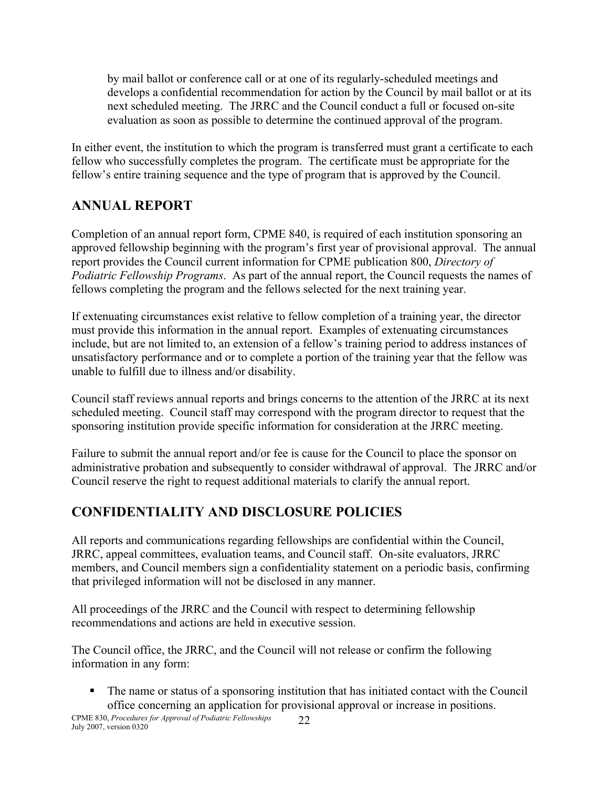by mail ballot or conference call or at one of its regularly-scheduled meetings and develops a confidential recommendation for action by the Council by mail ballot or at its next scheduled meeting. The JRRC and the Council conduct a full or focused on-site evaluation as soon as possible to determine the continued approval of the program.

In either event, the institution to which the program is transferred must grant a certificate to each fellow who successfully completes the program. The certificate must be appropriate for the fellow's entire training sequence and the type of program that is approved by the Council.

## **ANNUAL REPORT**

Completion of an annual report form, CPME 840, is required of each institution sponsoring an approved fellowship beginning with the program's first year of provisional approval. The annual report provides the Council current information for CPME publication 800, *Directory of Podiatric Fellowship Programs*. As part of the annual report, the Council requests the names of fellows completing the program and the fellows selected for the next training year.

If extenuating circumstances exist relative to fellow completion of a training year, the director must provide this information in the annual report. Examples of extenuating circumstances include, but are not limited to, an extension of a fellow's training period to address instances of unsatisfactory performance and or to complete a portion of the training year that the fellow was unable to fulfill due to illness and/or disability.

Council staff reviews annual reports and brings concerns to the attention of the JRRC at its next scheduled meeting. Council staff may correspond with the program director to request that the sponsoring institution provide specific information for consideration at the JRRC meeting.

Failure to submit the annual report and/or fee is cause for the Council to place the sponsor on administrative probation and subsequently to consider withdrawal of approval. The JRRC and/or Council reserve the right to request additional materials to clarify the annual report.

## **CONFIDENTIALITY AND DISCLOSURE POLICIES**

All reports and communications regarding fellowships are confidential within the Council, JRRC, appeal committees, evaluation teams, and Council staff. On-site evaluators, JRRC members, and Council members sign a confidentiality statement on a periodic basis, confirming that privileged information will not be disclosed in any manner.

All proceedings of the JRRC and the Council with respect to determining fellowship recommendations and actions are held in executive session.

The Council office, the JRRC, and the Council will not release or confirm the following information in any form:

 The name or status of a sponsoring institution that has initiated contact with the Council office concerning an application for provisional approval or increase in positions.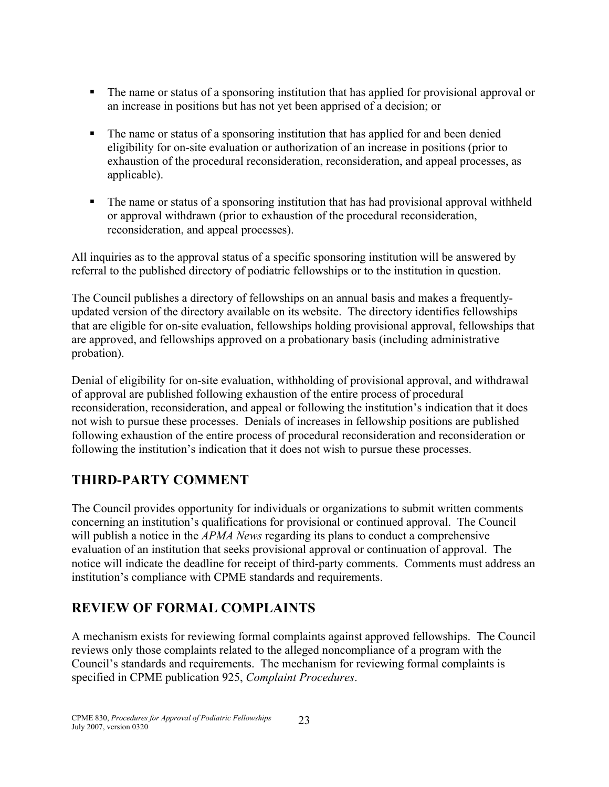- The name or status of a sponsoring institution that has applied for provisional approval or an increase in positions but has not yet been apprised of a decision; or
- The name or status of a sponsoring institution that has applied for and been denied eligibility for on-site evaluation or authorization of an increase in positions (prior to exhaustion of the procedural reconsideration, reconsideration, and appeal processes, as applicable).
- The name or status of a sponsoring institution that has had provisional approval withheld or approval withdrawn (prior to exhaustion of the procedural reconsideration, reconsideration, and appeal processes).

All inquiries as to the approval status of a specific sponsoring institution will be answered by referral to the published directory of podiatric fellowships or to the institution in question.

The Council publishes a directory of fellowships on an annual basis and makes a frequentlyupdated version of the directory available on its website. The directory identifies fellowships that are eligible for on-site evaluation, fellowships holding provisional approval, fellowships that are approved, and fellowships approved on a probationary basis (including administrative probation).

Denial of eligibility for on-site evaluation, withholding of provisional approval, and withdrawal of approval are published following exhaustion of the entire process of procedural reconsideration, reconsideration, and appeal or following the institution's indication that it does not wish to pursue these processes. Denials of increases in fellowship positions are published following exhaustion of the entire process of procedural reconsideration and reconsideration or following the institution's indication that it does not wish to pursue these processes.

## **THIRD-PARTY COMMENT**

The Council provides opportunity for individuals or organizations to submit written comments concerning an institution's qualifications for provisional or continued approval. The Council will publish a notice in the *APMA News* regarding its plans to conduct a comprehensive evaluation of an institution that seeks provisional approval or continuation of approval. The notice will indicate the deadline for receipt of third-party comments. Comments must address an institution's compliance with CPME standards and requirements.

## **REVIEW OF FORMAL COMPLAINTS**

A mechanism exists for reviewing formal complaints against approved fellowships. The Council reviews only those complaints related to the alleged noncompliance of a program with the Council's standards and requirements. The mechanism for reviewing formal complaints is specified in CPME publication 925, *Complaint Procedures*.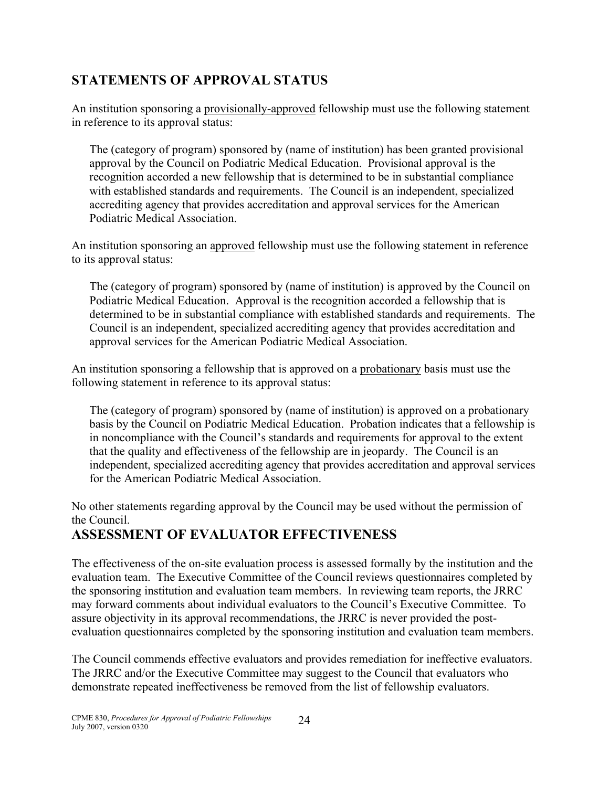### **STATEMENTS OF APPROVAL STATUS**

An institution sponsoring a provisionally-approved fellowship must use the following statement in reference to its approval status:

The (category of program) sponsored by (name of institution) has been granted provisional approval by the Council on Podiatric Medical Education. Provisional approval is the recognition accorded a new fellowship that is determined to be in substantial compliance with established standards and requirements. The Council is an independent, specialized accrediting agency that provides accreditation and approval services for the American Podiatric Medical Association.

An institution sponsoring an approved fellowship must use the following statement in reference to its approval status:

The (category of program) sponsored by (name of institution) is approved by the Council on Podiatric Medical Education. Approval is the recognition accorded a fellowship that is determined to be in substantial compliance with established standards and requirements. The Council is an independent, specialized accrediting agency that provides accreditation and approval services for the American Podiatric Medical Association.

An institution sponsoring a fellowship that is approved on a probationary basis must use the following statement in reference to its approval status:

The (category of program) sponsored by (name of institution) is approved on a probationary basis by the Council on Podiatric Medical Education. Probation indicates that a fellowship is in noncompliance with the Council's standards and requirements for approval to the extent that the quality and effectiveness of the fellowship are in jeopardy. The Council is an independent, specialized accrediting agency that provides accreditation and approval services for the American Podiatric Medical Association.

No other statements regarding approval by the Council may be used without the permission of the Council.

## **ASSESSMENT OF EVALUATOR EFFECTIVENESS**

The effectiveness of the on-site evaluation process is assessed formally by the institution and the evaluation team. The Executive Committee of the Council reviews questionnaires completed by the sponsoring institution and evaluation team members. In reviewing team reports, the JRRC may forward comments about individual evaluators to the Council's Executive Committee. To assure objectivity in its approval recommendations, the JRRC is never provided the postevaluation questionnaires completed by the sponsoring institution and evaluation team members.

The Council commends effective evaluators and provides remediation for ineffective evaluators. The JRRC and/or the Executive Committee may suggest to the Council that evaluators who demonstrate repeated ineffectiveness be removed from the list of fellowship evaluators.